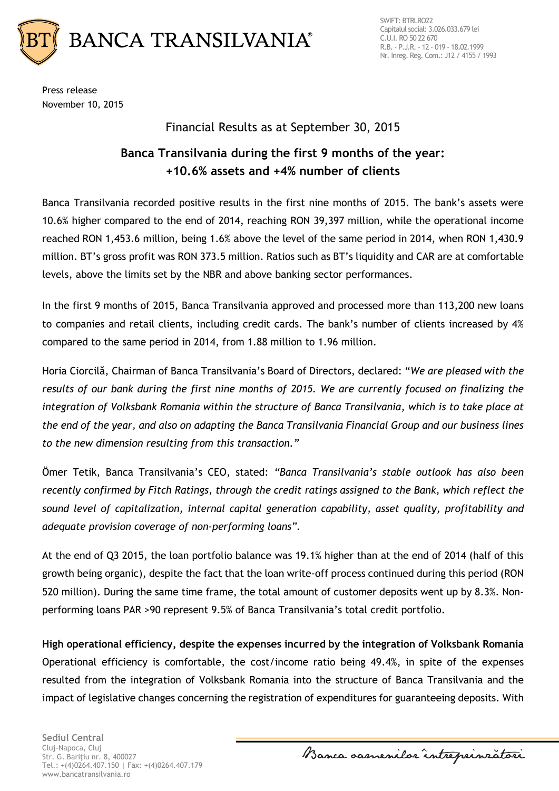

Press release November 10, 2015

## Financial Results as at September 30, 2015

# **Banca Transilvania during the first 9 months of the year: +10.6% assets and +4% number of clients**

Banca Transilvania recorded positive results in the first nine months of 2015. The bank's assets were 10.6% higher compared to the end of 2014, reaching RON 39,397 million, while the operational income reached RON 1,453.6 million, being 1.6% above the level of the same period in 2014, when RON 1,430.9 million. BT's gross profit was RON 373.5 million. Ratios such as BT's liquidity and CAR are at comfortable levels, above the limits set by the NBR and above banking sector performances.

In the first 9 months of 2015, Banca Transilvania approved and processed more than 113,200 new loans to companies and retail clients, including credit cards. The bank's number of clients increased by 4% compared to the same period in 2014, from 1.88 million to 1.96 million.

Horia Ciorcilă, Chairman of Banca Transilvania's Board of Directors, declared: "*We are pleased with the results of our bank during the first nine months of 2015. We are currently focused on finalizing the integration of Volksbank Romania within the structure of Banca Transilvania, which is to take place at the end of the year, and also on adapting the Banca Transilvania Financial Group and our business lines to the new dimension resulting from this transaction."*

Ömer Tetik, Banca Transilvania's CEO, stated: *"Banca Transilvania's stable outlook has also been recently confirmed by Fitch Ratings, through the credit ratings assigned to the Bank, which reflect the sound level of capitalization, internal capital generation capability, asset quality, profitability and adequate provision coverage of non-performing loans".*

At the end of Q3 2015, the loan portfolio balance was 19.1% higher than at the end of 2014 (half of this growth being organic), despite the fact that the loan write-off process continued during this period (RON 520 million). During the same time frame, the total amount of customer deposits went up by 8.3%. Nonperforming loans PAR >90 represent 9.5% of Banca Transilvania's total credit portfolio.

**High operational efficiency, despite the expenses incurred by the integration of Volksbank Romania** Operational efficiency is comfortable, the cost/income ratio being 49.4%, in spite of the expenses resulted from the integration of Volksbank Romania into the structure of Banca Transilvania and the impact of legislative changes concerning the registration of expenditures for guaranteeing deposits. With

**Sediul Central** Cluj-Napoca, Cluj Str. G. Bariţiu nr. 8, 400027 Tel.: +(4)0264.407.150 | Fax: +(4)0264.407.179 www.bancatransilvania.ro

Banca samenilar intreprinsatori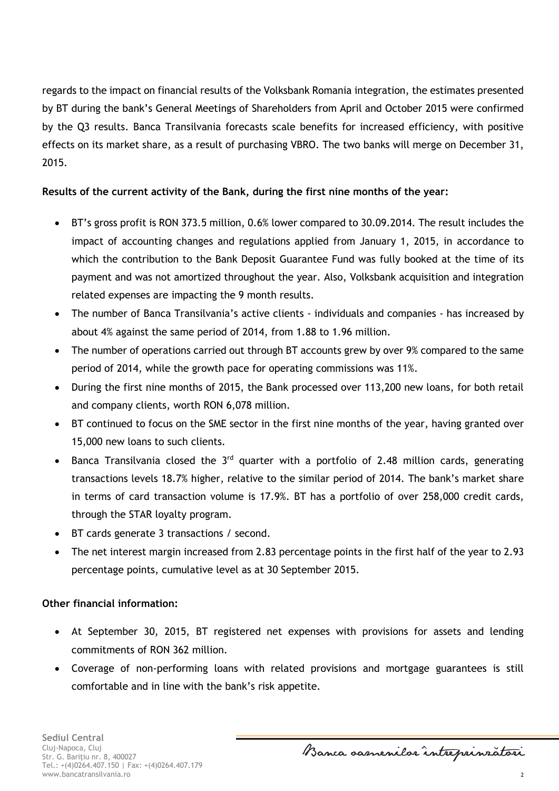regards to the impact on financial results of the Volksbank Romania integration, the estimates presented by BT during the bank's General Meetings of Shareholders from April and October 2015 were confirmed by the Q3 results. Banca Transilvania forecasts scale benefits for increased efficiency, with positive effects on its market share, as a result of purchasing VBRO. The two banks will merge on December 31, 2015.

### **Results of the current activity of the Bank, during the first nine months of the year:**

- BT's gross profit is RON 373.5 million, 0.6% lower compared to 30.09.2014. The result includes the impact of accounting changes and regulations applied from January 1, 2015, in accordance to which the contribution to the Bank Deposit Guarantee Fund was fully booked at the time of its payment and was not amortized throughout the year. Also, Volksbank acquisition and integration related expenses are impacting the 9 month results.
- The number of Banca Transilvania's active clients individuals and companies has increased by about 4% against the same period of 2014, from 1.88 to 1.96 million.
- The number of operations carried out through BT accounts grew by over 9% compared to the same period of 2014, while the growth pace for operating commissions was 11%.
- During the first nine months of 2015, the Bank processed over 113,200 new loans, for both retail and company clients, worth RON 6,078 million.
- BT continued to focus on the SME sector in the first nine months of the year, having granted over 15,000 new loans to such clients.
- Banca Transilvania closed the  $3<sup>rd</sup>$  quarter with a portfolio of 2.48 million cards, generating transactions levels 18.7% higher, relative to the similar period of 2014. The bank's market share in terms of card transaction volume is 17.9%. BT has a portfolio of over 258,000 credit cards, through the STAR loyalty program.
- BT cards generate 3 transactions / second.
- The net interest margin increased from 2.83 percentage points in the first half of the year to 2.93 percentage points, cumulative level as at 30 September 2015.

#### **Other financial information:**

- At September 30, 2015, BT registered net expenses with provisions for assets and lending commitments of RON 362 million.
- Coverage of non-performing loans with related provisions and mortgage guarantees is still comfortable and in line with the bank's risk appetite.

Banca samenilor intreprinratori

2